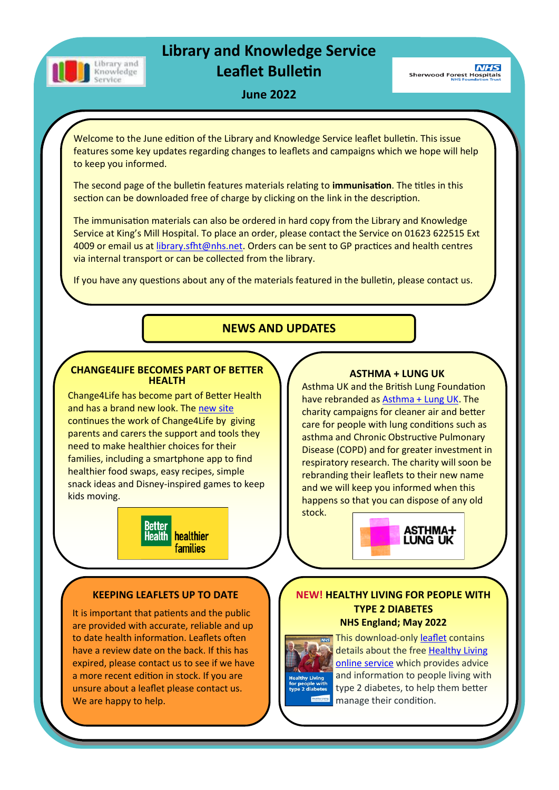

# **Library and Knowledge Service Leaflet Bulletin**

**NHS Sherwood Forest Hospitals** 

## **June 2022**

Welcome to the June edition of the Library and Knowledge Service leaflet bulletin. This issue features some key updates regarding changes to leaflets and campaigns which we hope will help to keep you informed.

The second page of the bulletin features materials relating to **immunisation**. The titles in this section can be downloaded free of charge by clicking on the link in the description.

The immunisation materials can also be ordered in hard copy from the Library and Knowledge Service at King's Mill Hospital. To place an order, please contact the Service on 01623 622515 Ext 4009 or email us at [library.sfht@nhs.net.](mailto:library.sfht@nhs.net) Orders can be sent to GP practices and health centres via internal transport or can be collected from the library.

If you have any questions about any of the materials featured in the bulletin, please contact us.

# **NEWS AND UPDATES**

#### **CHANGE4LIFE BECOMES PART OF BETTER HEALTH**

Change4Life has become part of Better Health and has a brand new look. The [new site](https://www.nhs.uk/healthier-families/)  continues the work of Change4Life by giving parents and carers the support and tools they need to make healthier choices for their families, including a smartphone app to find healthier food swaps, easy recipes, simple snack ideas and Disney-inspired games to keep kids moving.



# **ASTHMA + LUNG UK**

Asthma UK and the British Lung Foundation have rebranded as [Asthma + Lung UK.](https://www.asthmaandlung.org.uk/) The charity campaigns for cleaner air and better care for people with lung conditions such as asthma and Chronic Obstructive Pulmonary Disease (COPD) and for greater investment in respiratory research. The charity will soon be rebranding their leaflets to their new name and we will keep you informed when this happens so that you can dispose of any old



#### **KEEPING LEAFLETS UP TO DATE**

It is important that patients and the public are provided with accurate, reliable and up to date health information. Leaflets often have a review date on the back. If this has expired, please contact us to see if we have a more recent edition in stock. If you are unsure about a leaflet please contact us. We are happy to help.

### **NEW! HEALTHY LIVING FOR PEOPLE WITH TYPE 2 DIABETES NHS England; May 2022**



stock.

This download-only [leaflet](https://www.england.nhs.uk/wp-content/uploads/2022/05/B1572-patient-leaflet-healthy-living-for-people-with-type-2-diabetes.pdf) contains details about the free [Healthy Living](https://healthyliving.nhs.uk/)  [online service](https://healthyliving.nhs.uk/) which provides advice and information to people living with type 2 diabetes, to help them better manage their condition.